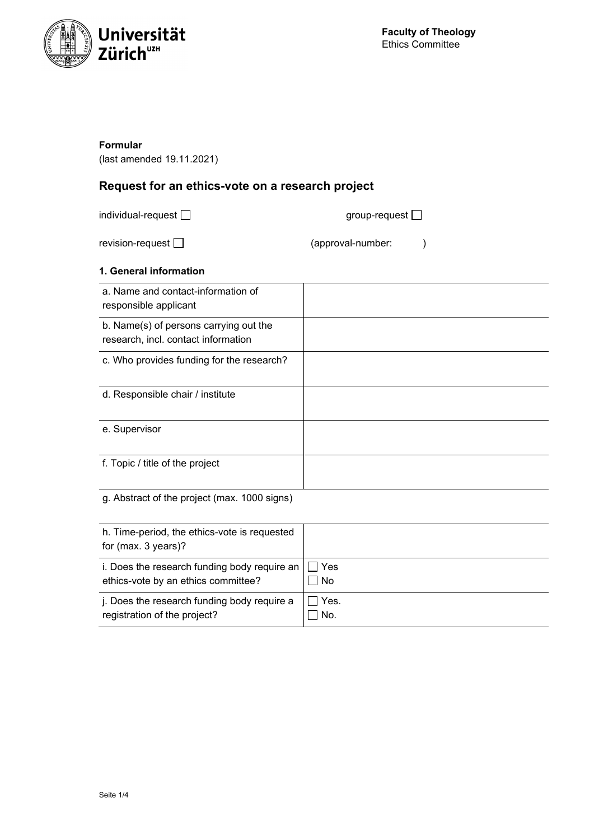

## **Formular**

(last amended 19.11.2021)

# **Request for an ethics-vote on a research project**

individual-request  $\Box$ 

revision-request  $\Box$  (approval-number: )

# **1. General information**

| a. Name and contact-information of<br>responsible applicant                   |  |
|-------------------------------------------------------------------------------|--|
| b. Name(s) of persons carrying out the<br>research, incl. contact information |  |
| c. Who provides funding for the research?                                     |  |
| d. Responsible chair / institute                                              |  |
| e. Supervisor                                                                 |  |
| f. Topic / title of the project                                               |  |
| g. Abstract of the project (max. 1000 signs)                                  |  |

| h. Time-period, the ethics-vote is requested<br>for $(max. 3 years)?$ |         |
|-----------------------------------------------------------------------|---------|
| i. Does the research funding body require an                          | l I Yes |
| ethics-vote by an ethics committee?                                   | No      |
| j. Does the research funding body require a                           | Yes.    |
| registration of the project?                                          | No.     |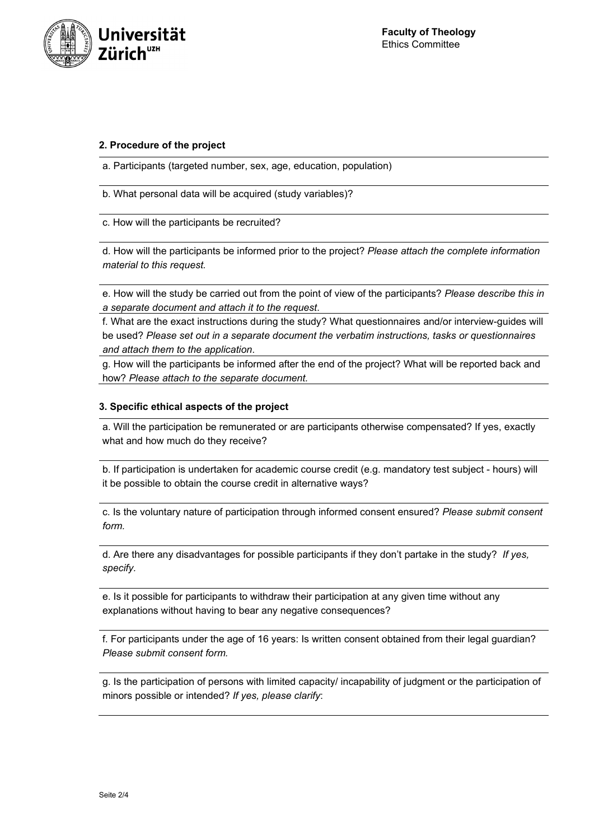

#### **2. Procedure of the project**

a. Participants (targeted number, sex, age, education, population)

b. What personal data will be acquired (study variables)?

c. How will the participants be recruited?

d. How will the participants be informed prior to the project? *Please attach the complete information material to this request.*

e. How will the study be carried out from the point of view of the participants? *Please describe this in a separate document and attach it to the request*.

f. What are the exact instructions during the study? What questionnaires and/or interview-guides will be used? *Please set out in a separate document the verbatim instructions, tasks or questionnaires and attach them to the application*.

g. How will the participants be informed after the end of the project? What will be reported back and how? *Please attach to the separate document.*

#### **3. Specific ethical aspects of the project**

a. Will the participation be remunerated or are participants otherwise compensated? If yes, exactly what and how much do they receive?

b. If participation is undertaken for academic course credit (e.g. mandatory test subject - hours) will it be possible to obtain the course credit in alternative ways?

c. Is the voluntary nature of participation through informed consent ensured? *Please submit consent form.*

d. Are there any disadvantages for possible participants if they don't partake in the study? *If yes, specify.*

e. Is it possible for participants to withdraw their participation at any given time without any explanations without having to bear any negative consequences?

f. For participants under the age of 16 years: Is written consent obtained from their legal guardian? *Please submit consent form.*

g. Is the participation of persons with limited capacity/ incapability of judgment or the participation of minors possible or intended? *If yes, please clarify*: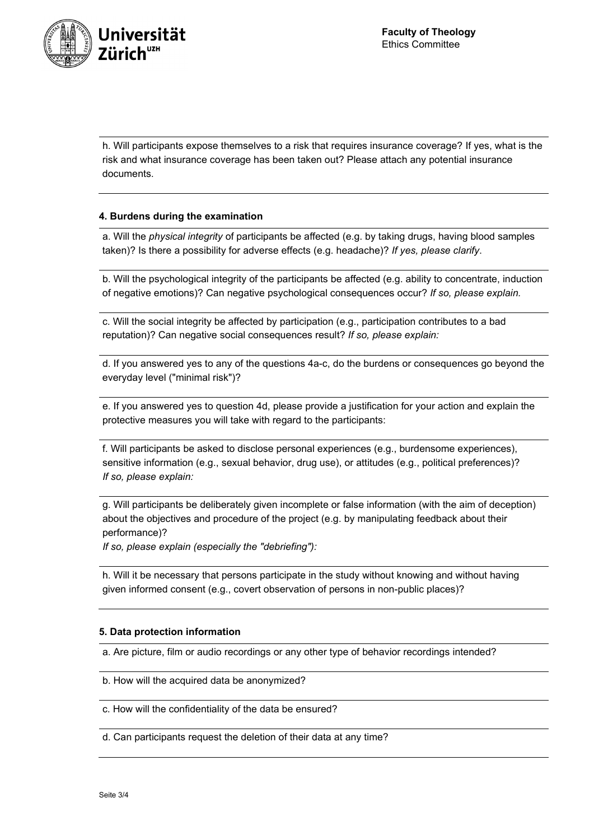

h. Will participants expose themselves to a risk that requires insurance coverage? If yes, what is the risk and what insurance coverage has been taken out? Please attach any potential insurance documents.

## **4. Burdens during the examination**

a. Will the *physical integrity* of participants be affected (e.g. by taking drugs, having blood samples taken)? Is there a possibility for adverse effects (e.g. headache)? *If yes, please clarify*.

b. Will the psychological integrity of the participants be affected (e.g. ability to concentrate, induction of negative emotions)? Can negative psychological consequences occur? *If so, please explain.*

c. Will the social integrity be affected by participation (e.g., participation contributes to a bad reputation)? Can negative social consequences result? *If so, please explain:*

d. If you answered yes to any of the questions 4a-c, do the burdens or consequences go beyond the everyday level ("minimal risk")?

e. If you answered yes to question 4d, please provide a justification for your action and explain the protective measures you will take with regard to the participants:

f. Will participants be asked to disclose personal experiences (e.g., burdensome experiences), sensitive information (e.g., sexual behavior, drug use), or attitudes (e.g., political preferences)? *If so, please explain:*

g. Will participants be deliberately given incomplete or false information (with the aim of deception) about the objectives and procedure of the project (e.g. by manipulating feedback about their performance)?

*If so, please explain (especially the "debriefing"):*

h. Will it be necessary that persons participate in the study without knowing and without having given informed consent (e.g., covert observation of persons in non-public places)?

#### **5. Data protection information**

a. Are picture, film or audio recordings or any other type of behavior recordings intended?

b. How will the acquired data be anonymized?

c. How will the confidentiality of the data be ensured?

d. Can participants request the deletion of their data at any time?